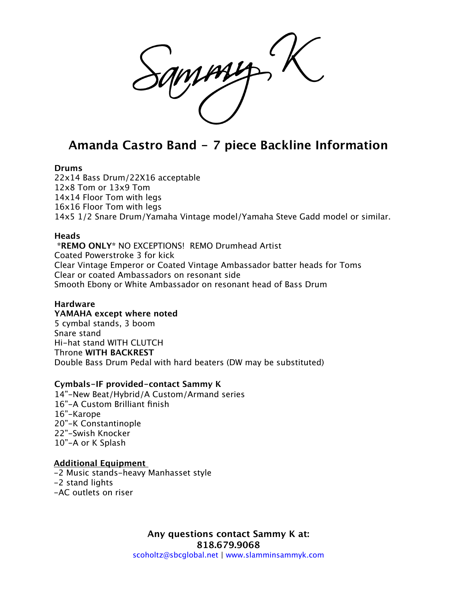# **Amanda Castro Band - 7 piece Backline Information**

## **Drums**

22x14 Bass Drum/22X16 acceptable 12x8 Tom or 13x9 Tom 14x14 Floor Tom with legs 16x16 Floor Tom with legs 14x5 1/2 Snare Drum/Yamaha Vintage model/Yamaha Steve Gadd model or similar.

## **Heads**

 **\*REMO ONLY\*** NO EXCEPTIONS! REMO Drumhead Artist Coated Powerstroke 3 for kick Clear Vintage Emperor or Coated Vintage Ambassador batter heads for Toms Clear or coated Ambassadors on resonant side Smooth Ebony or White Ambassador on resonant head of Bass Drum

## **Hardware**

**YAMAHA except where noted** 5 cymbal stands, 3 boom Snare stand Hi-hat stand WITH CLUTCH Throne **WITH BACKREST** Double Bass Drum Pedal with hard beaters (DW may be substituted)

## **Cymbals-IF provided-contact Sammy K**

14"-New Beat/Hybrid/A Custom/Armand series 16"-A Custom Brilliant finish 16"-Karope 20"-K Constantinople 22"-Swish Knocker 10"-A or K Splash

## **Additional Equipment**

-2 Music stands-heavy Manhasset style -2 stand lights -AC outlets on riser